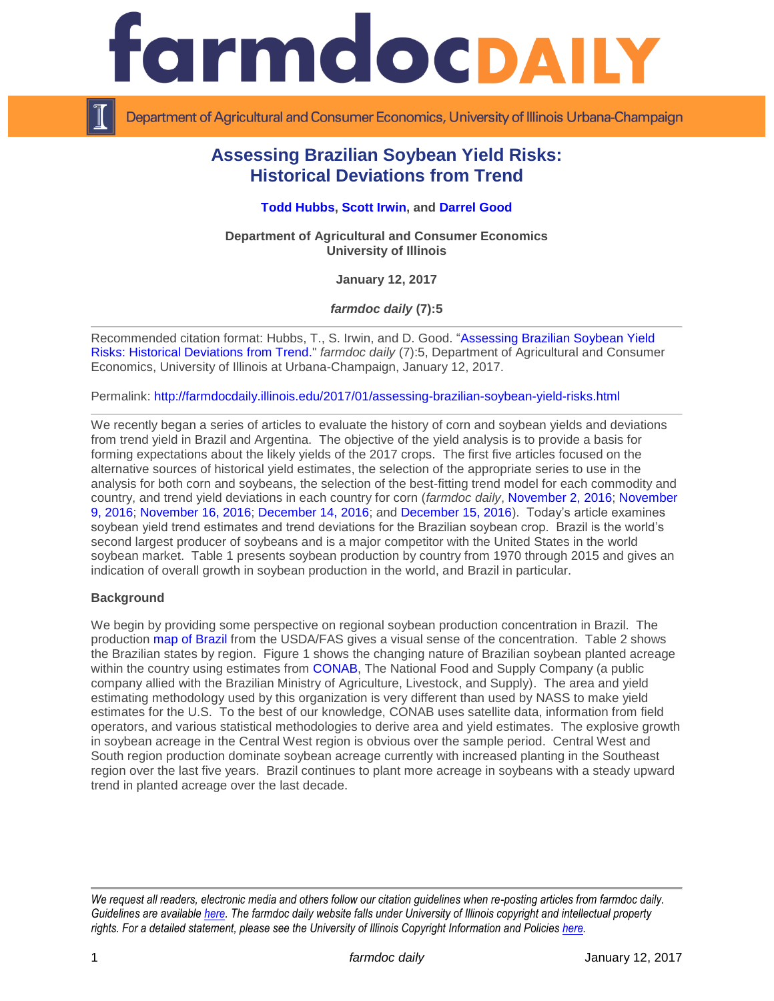

Department of Agricultural and Consumer Economics, University of Illinois Urbana-Champaign

# **Assessing Brazilian Soybean Yield Risks: Historical Deviations from Trend**

### **[Todd Hubbs,](http://ace.illinois.edu/directory/jhubbs3) [Scott Irwin,](http://www.farmdoc.illinois.edu/irwin/) and [Darrel Good](http://farmdoc.illinois.edu/good/)**

**Department of Agricultural and Consumer Economics University of Illinois**

**January 12, 2017**

*farmdoc daily* **(7):5**

Recommended citation format: Hubbs, T., S. Irwin, and D. Good. ["Assessing Brazilian Soybean Yield](http://farmdocdaily.illinois.edu/2017/01/assessing-brazilian-soybean-yield-risks.html)  [Risks: Historical Deviations from Trend.](http://farmdocdaily.illinois.edu/2017/01/assessing-brazilian-soybean-yield-risks.html)" *farmdoc daily* (7):5, Department of Agricultural and Consumer Economics, University of Illinois at Urbana-Champaign, January 12, 2017.

Permalink: <http://farmdocdaily.illinois.edu/2017/01/assessing-brazilian-soybean-yield-risks.html>

We recently began a series of articles to evaluate the history of corn and soybean yields and deviations from trend yield in Brazil and Argentina. The objective of the yield analysis is to provide a basis for forming expectations about the likely yields of the 2017 crops. The first five articles focused on the alternative sources of historical yield estimates, the selection of the appropriate series to use in the analysis for both corn and soybeans, the selection of the best-fitting trend model for each commodity and country, and trend yield deviations in each country for corn (*farmdoc daily*, [November 2, 2016;](http://farmdocdaily.illinois.edu/2016/11/assessing-south-american-corn-soybean-yield-risk.html) [November](http://farmdocdaily.illinois.edu/2016/11/assessing-south-american-corn-yield-risk-trend.html)  [9, 2016;](http://farmdocdaily.illinois.edu/2016/11/assessing-south-american-corn-yield-risk-trend.html) [November 16, 2016;](http://farmdocdaily.illinois.edu/2016/11/assessing-south-american-soybean-yield-risks.html) [December 14, 2016;](http://farmdocdaily.illinois.edu/2016/12/assessing-brazilian-corn-yield-risks-with-the-first.html) and [December 15, 2016\)](http://farmdocdaily.illinois.edu/2016/12/assessing-argentine-corn-yield-risk.html). Today's article examines soybean yield trend estimates and trend deviations for the Brazilian soybean crop. Brazil is the world's second largest producer of soybeans and is a major competitor with the United States in the world soybean market. Table 1 presents soybean production by country from 1970 through 2015 and gives an indication of overall growth in soybean production in the world, and Brazil in particular.

#### **Background**

We begin by providing some perspective on regional soybean production concentration in Brazil. The production [map of Brazil](http://www.pecad.fas.usda.gov/rssiws/al/br_cropprod_s.htm?commodity=Soybean&country=Brazil) from the USDA/FAS gives a visual sense of the concentration. Table 2 shows the Brazilian states by region. Figure 1 shows the changing nature of Brazilian soybean planted acreage within the country using estimates from [CONAB,](http://www.conab.gov.br/conteudos.php?a=1252&t=&Pagina_objcmsconteudos=3#A_objcmsconteudos) The National Food and Supply Company (a public company allied with the Brazilian Ministry of Agriculture, Livestock, and Supply). The area and yield estimating methodology used by this organization is very different than used by NASS to make yield estimates for the U.S. To the best of our knowledge, CONAB uses satellite data, information from field operators, and various statistical methodologies to derive area and yield estimates. The explosive growth in soybean acreage in the Central West region is obvious over the sample period. Central West and South region production dominate soybean acreage currently with increased planting in the Southeast region over the last five years. Brazil continues to plant more acreage in soybeans with a steady upward trend in planted acreage over the last decade.

*We request all readers, electronic media and others follow our citation guidelines when re-posting articles from farmdoc daily. Guidelines are available [here.](http://farmdocdaily.illinois.edu/citationguide.html) The farmdoc daily website falls under University of Illinois copyright and intellectual property rights. For a detailed statement, please see the University of Illinois Copyright Information and Policies [here.](http://www.cio.illinois.edu/policies/copyright/)*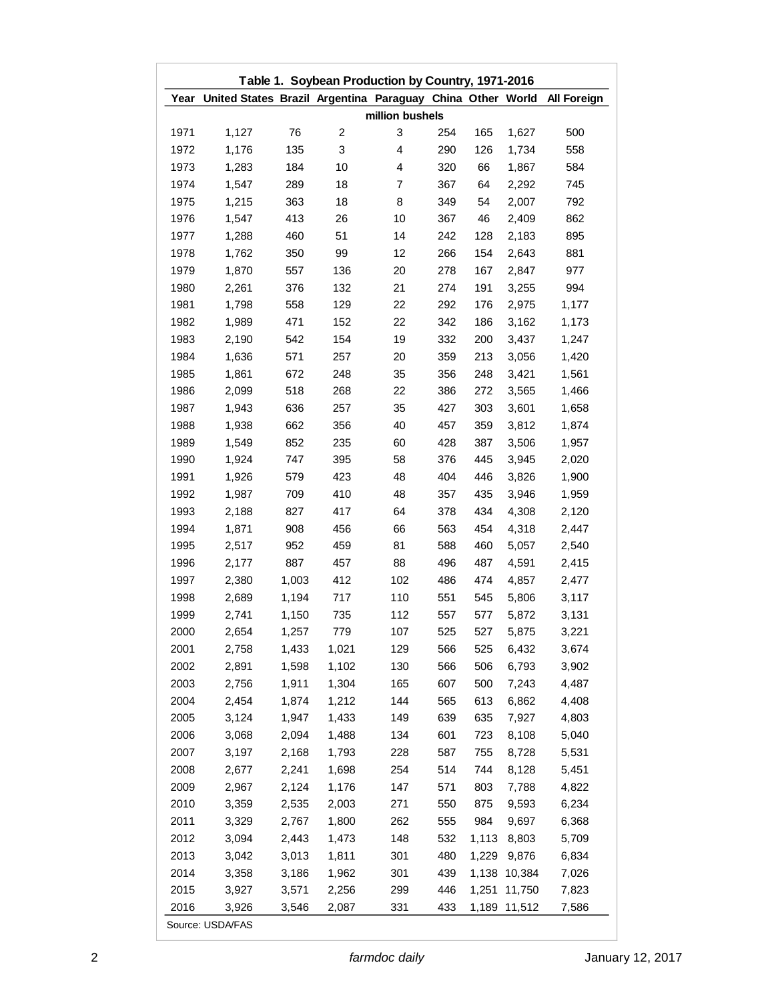|      | Table 1. Soybean Production by Country, 1971-2016              |       |       |                 |     |       |              |                    |
|------|----------------------------------------------------------------|-------|-------|-----------------|-----|-------|--------------|--------------------|
|      | Year United States Brazil Argentina Paraguay China Other World |       |       |                 |     |       |              | <b>All Foreign</b> |
|      |                                                                |       |       | million bushels |     |       |              |                    |
| 1971 | 1,127                                                          | 76    | 2     | 3               | 254 | 165   | 1,627        | 500                |
| 1972 | 1,176                                                          | 135   | 3     | 4               | 290 | 126   | 1,734        | 558                |
| 1973 | 1,283                                                          | 184   | 10    | 4               | 320 | 66    | 1,867        | 584                |
| 1974 | 1,547                                                          | 289   | 18    | 7               | 367 | 64    | 2,292        | 745                |
| 1975 | 1,215                                                          | 363   | 18    | 8               | 349 | 54    | 2,007        | 792                |
| 1976 | 1,547                                                          | 413   | 26    | 10              | 367 | 46    | 2,409        | 862                |
| 1977 | 1,288                                                          | 460   | 51    | 14              | 242 | 128   | 2,183        | 895                |
| 1978 | 1,762                                                          | 350   | 99    | 12              | 266 | 154   | 2,643        | 881                |
| 1979 | 1,870                                                          | 557   | 136   | 20              | 278 | 167   | 2,847        | 977                |
| 1980 | 2,261                                                          | 376   | 132   | 21              | 274 | 191   | 3,255        | 994                |
| 1981 | 1,798                                                          | 558   | 129   | 22              | 292 | 176   | 2,975        | 1,177              |
| 1982 | 1,989                                                          | 471   | 152   | 22              | 342 | 186   | 3,162        | 1,173              |
| 1983 | 2,190                                                          | 542   | 154   | 19              | 332 | 200   | 3,437        | 1,247              |
| 1984 | 1,636                                                          | 571   | 257   | 20              | 359 | 213   | 3,056        | 1,420              |
| 1985 | 1,861                                                          | 672   | 248   | 35              | 356 | 248   | 3,421        | 1,561              |
| 1986 | 2,099                                                          | 518   | 268   | 22              | 386 | 272   | 3,565        | 1,466              |
| 1987 | 1,943                                                          | 636   | 257   | 35              | 427 | 303   | 3,601        | 1,658              |
| 1988 | 1,938                                                          | 662   | 356   | 40              | 457 | 359   | 3,812        | 1,874              |
| 1989 | 1,549                                                          | 852   | 235   | 60              | 428 | 387   | 3,506        | 1,957              |
| 1990 | 1,924                                                          | 747   | 395   | 58              | 376 | 445   | 3,945        | 2,020              |
| 1991 | 1,926                                                          | 579   | 423   | 48              | 404 | 446   | 3,826        | 1,900              |
| 1992 | 1,987                                                          | 709   | 410   | 48              | 357 | 435   | 3,946        | 1,959              |
| 1993 | 2,188                                                          | 827   | 417   | 64              | 378 | 434   | 4,308        | 2,120              |
| 1994 | 1,871                                                          | 908   | 456   | 66              | 563 | 454   | 4,318        | 2,447              |
| 1995 | 2,517                                                          | 952   | 459   | 81              | 588 | 460   | 5,057        | 2,540              |
| 1996 | 2,177                                                          | 887   | 457   | 88              | 496 | 487   | 4,591        | 2,415              |
| 1997 | 2,380                                                          | 1,003 | 412   | 102             | 486 | 474   | 4,857        | 2,477              |
| 1998 | 2,689                                                          | 1,194 | 717   | 110             | 551 | 545   | 5,806        | 3,117              |
| 1999 | 2,741                                                          | 1,150 | 735   | 112             | 557 | 577   | 5,872        | 3,131              |
| 2000 | 2,654                                                          | 1,257 | 779   | 107             | 525 | 527   | 5,875        | 3,221              |
| 2001 | 2,758                                                          | 1,433 | 1,021 | 129             | 566 | 525   | 6,432        | 3,674              |
| 2002 | 2,891                                                          | 1,598 | 1,102 | 130             | 566 | 506   | 6,793        | 3,902              |
| 2003 | 2,756                                                          | 1,911 | 1,304 | 165             | 607 | 500   |              | 4,487              |
| 2004 | 2,454                                                          | 1,874 | 1,212 | 144             | 565 | 613   | 7,243        | 4,408              |
|      |                                                                | 1,947 |       |                 |     |       | 6,862        |                    |
| 2005 | 3,124                                                          |       | 1,433 | 149             | 639 | 635   | 7,927        | 4,803              |
| 2006 | 3,068                                                          | 2,094 | 1,488 | 134             | 601 | 723   | 8,108        | 5,040              |
| 2007 | 3,197                                                          | 2,168 | 1,793 | 228             | 587 | 755   | 8,728        | 5,531              |
| 2008 | 2,677                                                          | 2,241 | 1,698 | 254             | 514 | 744   | 8,128        | 5,451              |
| 2009 | 2,967                                                          | 2,124 | 1,176 | 147             | 571 | 803   | 7,788        | 4,822              |
| 2010 | 3,359                                                          | 2,535 | 2,003 | 271             | 550 | 875   | 9,593        | 6,234              |
| 2011 | 3,329                                                          | 2,767 | 1,800 | 262             | 555 | 984   | 9,697        | 6,368              |
| 2012 | 3,094                                                          | 2,443 | 1,473 | 148             | 532 |       | 1,113 8,803  | 5,709              |
| 2013 | 3,042                                                          | 3,013 | 1,811 | 301             | 480 | 1,229 | 9,876        | 6,834              |
| 2014 | 3,358                                                          | 3,186 | 1,962 | 301             | 439 |       | 1,138 10,384 | 7,026              |
| 2015 | 3,927                                                          | 3,571 | 2,256 | 299             | 446 |       | 1,251 11,750 | 7,823              |
| 2016 | 3,926<br>Source: USDA/FAS                                      | 3,546 | 2,087 | 331             | 433 |       | 1,189 11,512 | 7,586              |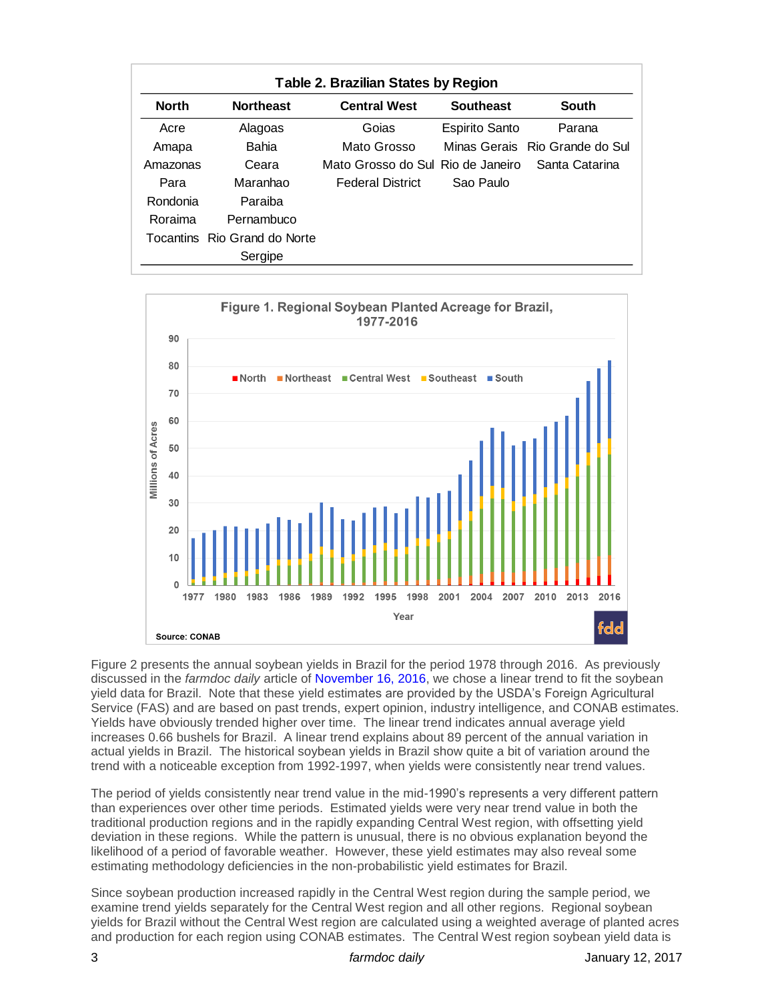| Table 2. Brazilian States by Region |                              |                                     |                       |                                |  |  |  |  |  |  |
|-------------------------------------|------------------------------|-------------------------------------|-----------------------|--------------------------------|--|--|--|--|--|--|
| <b>North</b>                        | <b>Northeast</b>             | <b>Central West</b>                 | <b>Southeast</b>      | <b>South</b>                   |  |  |  |  |  |  |
| Acre                                | Alagoas                      | Goias                               | <b>Espirito Santo</b> | Parana                         |  |  |  |  |  |  |
| Amapa                               | Bahia                        | Mato Grosso                         |                       | Minas Gerais Rio Grande do Sul |  |  |  |  |  |  |
| Amazonas                            | Ceara                        | Mato Grosso do Sul. Rio de Janeiro. |                       | Santa Catarina                 |  |  |  |  |  |  |
| Para                                | Maranhao                     | <b>Federal District</b>             | Sao Paulo             |                                |  |  |  |  |  |  |
| Rondonia                            | Paraiba                      |                                     |                       |                                |  |  |  |  |  |  |
| Roraima                             | Pernambuco                   |                                     |                       |                                |  |  |  |  |  |  |
|                                     | Tocantins Rio Grand do Norte |                                     |                       |                                |  |  |  |  |  |  |
|                                     | Sergipe                      |                                     |                       |                                |  |  |  |  |  |  |



Figure 2 presents the annual soybean yields in Brazil for the period 1978 through 2016. As previously discussed in the *farmdoc daily* article of [November 16, 2016,](http://farmdocdaily.illinois.edu/2016/11/assessing-south-american-soybean-yield-risks.html) we chose a linear trend to fit the soybean yield data for Brazil. Note that these yield estimates are provided by the USDA's Foreign Agricultural Service (FAS) and are based on past trends, expert opinion, industry intelligence, and CONAB estimates. Yields have obviously trended higher over time. The linear trend indicates annual average yield increases 0.66 bushels for Brazil. A linear trend explains about 89 percent of the annual variation in actual yields in Brazil. The historical soybean yields in Brazil show quite a bit of variation around the trend with a noticeable exception from 1992-1997, when yields were consistently near trend values.

The period of yields consistently near trend value in the mid-1990's represents a very different pattern than experiences over other time periods. Estimated yields were very near trend value in both the traditional production regions and in the rapidly expanding Central West region, with offsetting yield deviation in these regions. While the pattern is unusual, there is no obvious explanation beyond the likelihood of a period of favorable weather. However, these yield estimates may also reveal some estimating methodology deficiencies in the non-probabilistic yield estimates for Brazil.

Since soybean production increased rapidly in the Central West region during the sample period, we examine trend yields separately for the Central West region and all other regions. Regional soybean yields for Brazil without the Central West region are calculated using a weighted average of planted acres and production for each region using CONAB estimates. The Central West region soybean yield data is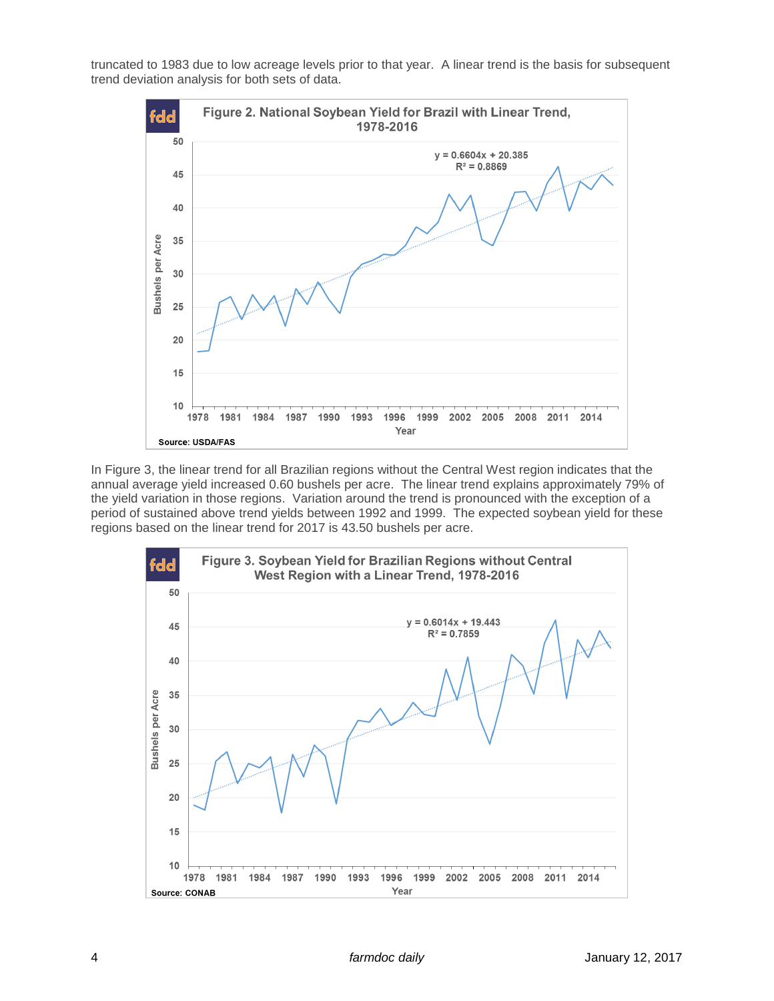truncated to 1983 due to low acreage levels prior to that year. A linear trend is the basis for subsequent trend deviation analysis for both sets of data.



In Figure 3, the linear trend for all Brazilian regions without the Central West region indicates that the annual average yield increased 0.60 bushels per acre. The linear trend explains approximately 79% of the yield variation in those regions. Variation around the trend is pronounced with the exception of a period of sustained above trend yields between 1992 and 1999. The expected soybean yield for these regions based on the linear trend for 2017 is 43.50 bushels per acre.

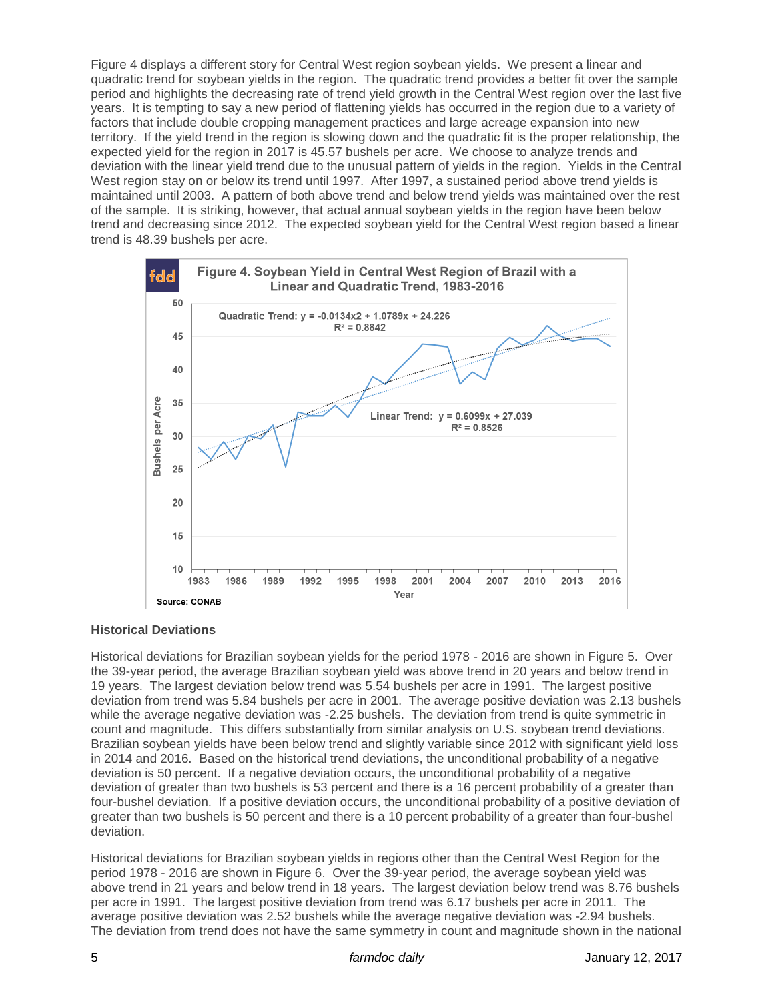Figure 4 displays a different story for Central West region soybean yields. We present a linear and quadratic trend for soybean yields in the region. The quadratic trend provides a better fit over the sample period and highlights the decreasing rate of trend yield growth in the Central West region over the last five years. It is tempting to say a new period of flattening yields has occurred in the region due to a variety of factors that include double cropping management practices and large acreage expansion into new territory. If the yield trend in the region is slowing down and the quadratic fit is the proper relationship, the expected yield for the region in 2017 is 45.57 bushels per acre. We choose to analyze trends and deviation with the linear yield trend due to the unusual pattern of yields in the region. Yields in the Central West region stay on or below its trend until 1997. After 1997, a sustained period above trend yields is maintained until 2003. A pattern of both above trend and below trend yields was maintained over the rest of the sample. It is striking, however, that actual annual soybean yields in the region have been below trend and decreasing since 2012. The expected soybean yield for the Central West region based a linear trend is 48.39 bushels per acre.



# **Historical Deviations**

Historical deviations for Brazilian soybean yields for the period 1978 - 2016 are shown in Figure 5. Over the 39-year period, the average Brazilian soybean yield was above trend in 20 years and below trend in 19 years. The largest deviation below trend was 5.54 bushels per acre in 1991. The largest positive deviation from trend was 5.84 bushels per acre in 2001. The average positive deviation was 2.13 bushels while the average negative deviation was -2.25 bushels. The deviation from trend is quite symmetric in count and magnitude. This differs substantially from similar analysis on U.S. soybean trend deviations. Brazilian soybean yields have been below trend and slightly variable since 2012 with significant yield loss in 2014 and 2016. Based on the historical trend deviations, the unconditional probability of a negative deviation is 50 percent. If a negative deviation occurs, the unconditional probability of a negative deviation of greater than two bushels is 53 percent and there is a 16 percent probability of a greater than four-bushel deviation. If a positive deviation occurs, the unconditional probability of a positive deviation of greater than two bushels is 50 percent and there is a 10 percent probability of a greater than four-bushel deviation.

Historical deviations for Brazilian soybean yields in regions other than the Central West Region for the period 1978 - 2016 are shown in Figure 6. Over the 39-year period, the average soybean yield was above trend in 21 years and below trend in 18 years. The largest deviation below trend was 8.76 bushels per acre in 1991. The largest positive deviation from trend was 6.17 bushels per acre in 2011. The average positive deviation was 2.52 bushels while the average negative deviation was -2.94 bushels. The deviation from trend does not have the same symmetry in count and magnitude shown in the national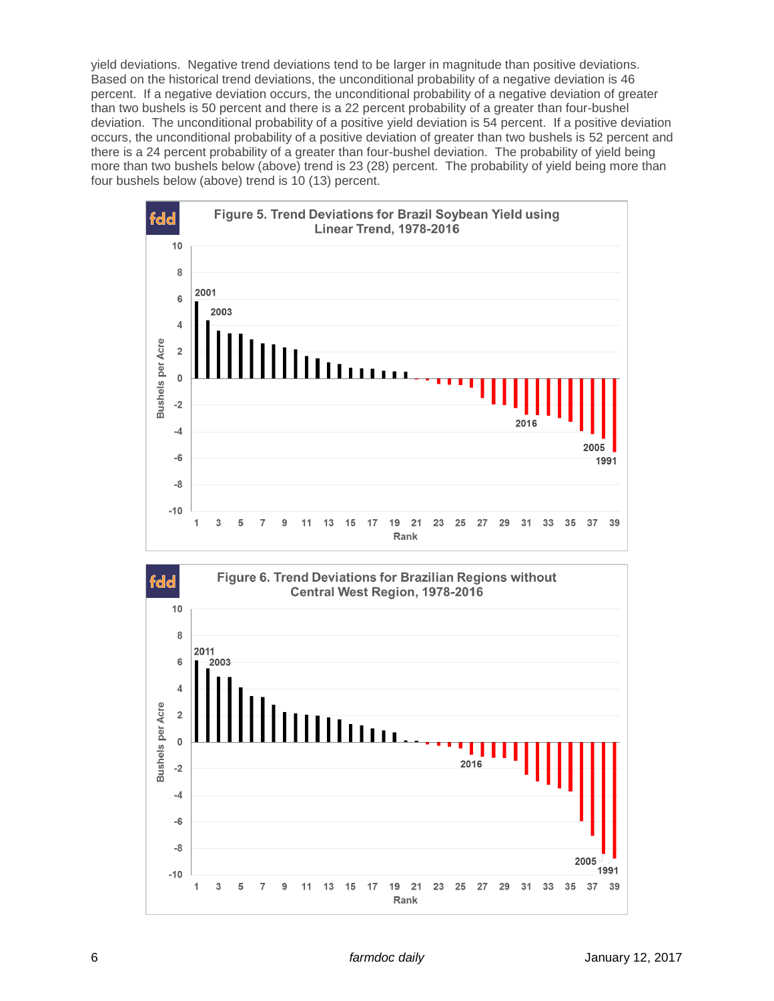yield deviations. Negative trend deviations tend to be larger in magnitude than positive deviations. Based on the historical trend deviations, the unconditional probability of a negative deviation is 46 percent. If a negative deviation occurs, the unconditional probability of a negative deviation of greater than two bushels is 50 percent and there is a 22 percent probability of a greater than four-bushel deviation. The unconditional probability of a positive yield deviation is 54 percent. If a positive deviation occurs, the unconditional probability of a positive deviation of greater than two bushels is 52 percent and there is a 24 percent probability of a greater than four-bushel deviation. The probability of yield being more than two bushels below (above) trend is 23 (28) percent. The probability of yield being more than four bushels below (above) trend is 10 (13) percent.



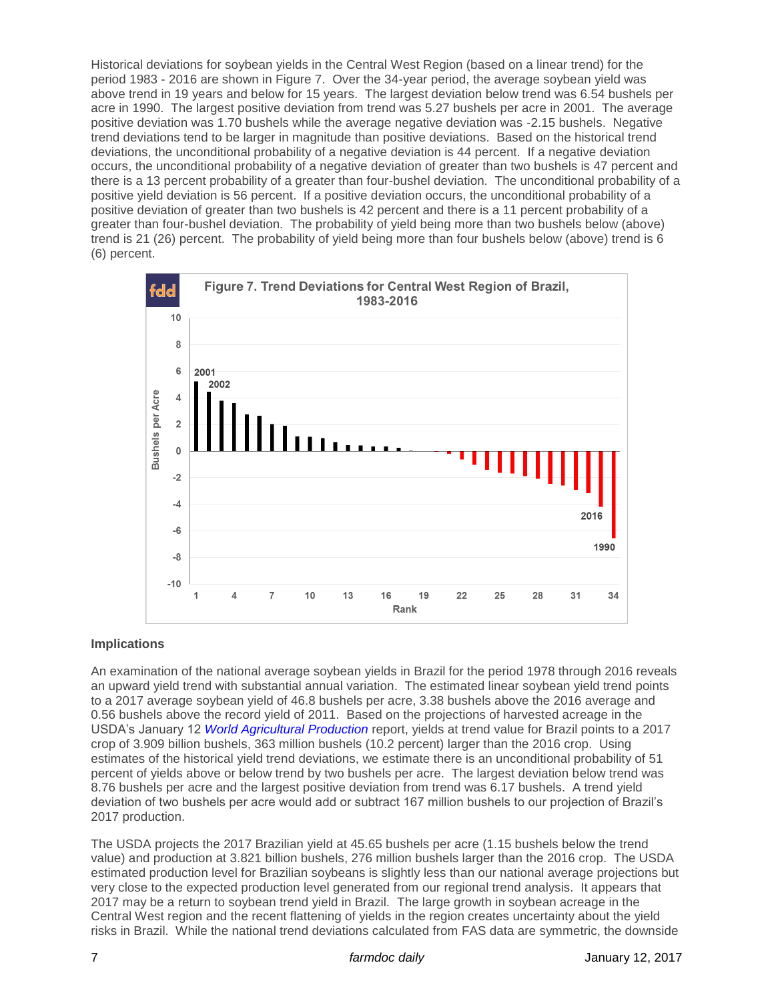Historical deviations for soybean yields in the Central West Region (based on a linear trend) for the period 1983 - 2016 are shown in Figure 7. Over the 34-year period, the average soybean yield was above trend in 19 years and below for 15 years. The largest deviation below trend was 6.54 bushels per acre in 1990. The largest positive deviation from trend was 5.27 bushels per acre in 2001. The average positive deviation was 1.70 bushels while the average negative deviation was -2.15 bushels. Negative trend deviations tend to be larger in magnitude than positive deviations. Based on the historical trend deviations, the unconditional probability of a negative deviation is 44 percent. If a negative deviation occurs, the unconditional probability of a negative deviation of greater than two bushels is 47 percent and there is a 13 percent probability of a greater than four-bushel deviation. The unconditional probability of a positive yield deviation is 56 percent. If a positive deviation occurs, the unconditional probability of a positive deviation of greater than two bushels is 42 percent and there is a 11 percent probability of a greater than four-bushel deviation. The probability of yield being more than two bushels below (above) trend is 21 (26) percent. The probability of yield being more than four bushels below (above) trend is 6 (6) percent.



# **Implications**

An examination of the national average soybean yields in Brazil for the period 1978 through 2016 reveals an upward yield trend with substantial annual variation. The estimated linear soybean yield trend points to a 2017 average soybean yield of 46.8 bushels per acre, 3.38 bushels above the 2016 average and 0.56 bushels above the record yield of 2011. Based on the projections of harvested acreage in the USDA's January 12 *[World Agricultural Production](http://apps.fas.usda.gov/psdonline/circulars/production.pdf)* report, yields at trend value for Brazil points to a 2017 crop of 3.909 billion bushels, 363 million bushels (10.2 percent) larger than the 2016 crop. Using estimates of the historical yield trend deviations, we estimate there is an unconditional probability of 51 percent of yields above or below trend by two bushels per acre. The largest deviation below trend was 8.76 bushels per acre and the largest positive deviation from trend was 6.17 bushels. A trend yield deviation of two bushels per acre would add or subtract 167 million bushels to our projection of Brazil's 2017 production.

The USDA projects the 2017 Brazilian yield at 45.65 bushels per acre (1.15 bushels below the trend value) and production at 3.821 billion bushels, 276 million bushels larger than the 2016 crop. The USDA estimated production level for Brazilian soybeans is slightly less than our national average projections but very close to the expected production level generated from our regional trend analysis. It appears that 2017 may be a return to soybean trend yield in Brazil. The large growth in soybean acreage in the Central West region and the recent flattening of yields in the region creates uncertainty about the yield risks in Brazil. While the national trend deviations calculated from FAS data are symmetric, the downside